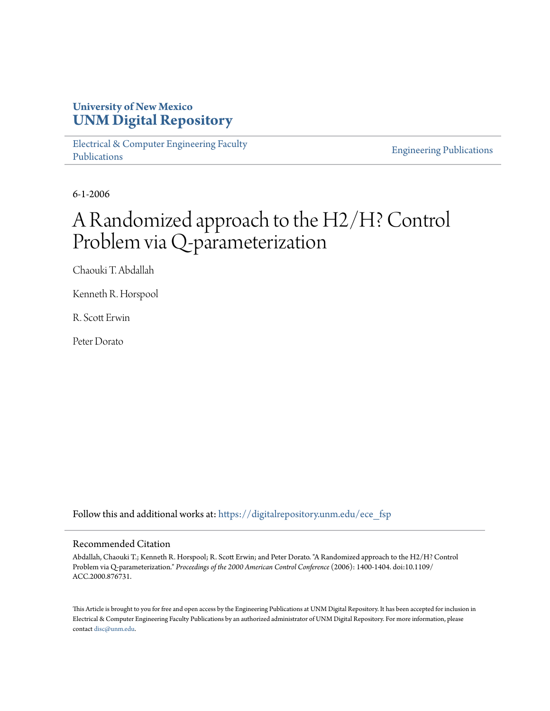### **University of New Mexico [UNM Digital Repository](https://digitalrepository.unm.edu?utm_source=digitalrepository.unm.edu%2Fece_fsp%2F166&utm_medium=PDF&utm_campaign=PDFCoverPages)**

[Electrical & Computer Engineering Faculty](https://digitalrepository.unm.edu/ece_fsp?utm_source=digitalrepository.unm.edu%2Fece_fsp%2F166&utm_medium=PDF&utm_campaign=PDFCoverPages) [Publications](https://digitalrepository.unm.edu/ece_fsp?utm_source=digitalrepository.unm.edu%2Fece_fsp%2F166&utm_medium=PDF&utm_campaign=PDFCoverPages)

[Engineering Publications](https://digitalrepository.unm.edu/eng_fsp?utm_source=digitalrepository.unm.edu%2Fece_fsp%2F166&utm_medium=PDF&utm_campaign=PDFCoverPages)

6-1-2006

# A Randomized approach to the H2/H? Control Problem via Q-parameterization

Chaouki T. Abdallah

Kenneth R. Horspool

R. Scott Erwin

Peter Dorato

Follow this and additional works at: [https://digitalrepository.unm.edu/ece\\_fsp](https://digitalrepository.unm.edu/ece_fsp?utm_source=digitalrepository.unm.edu%2Fece_fsp%2F166&utm_medium=PDF&utm_campaign=PDFCoverPages)

### Recommended Citation

Abdallah, Chaouki T.; Kenneth R. Horspool; R. Scott Erwin; and Peter Dorato. "A Randomized approach to the H2/H? Control Problem via Q-parameterization." *Proceedings of the 2000 American Control Conference* (2006): 1400-1404. doi:10.1109/ ACC.2000.876731.

This Article is brought to you for free and open access by the Engineering Publications at UNM Digital Repository. It has been accepted for inclusion in Electrical & Computer Engineering Faculty Publications by an authorized administrator of UNM Digital Repository. For more information, please contact [disc@unm.edu.](mailto:disc@unm.edu)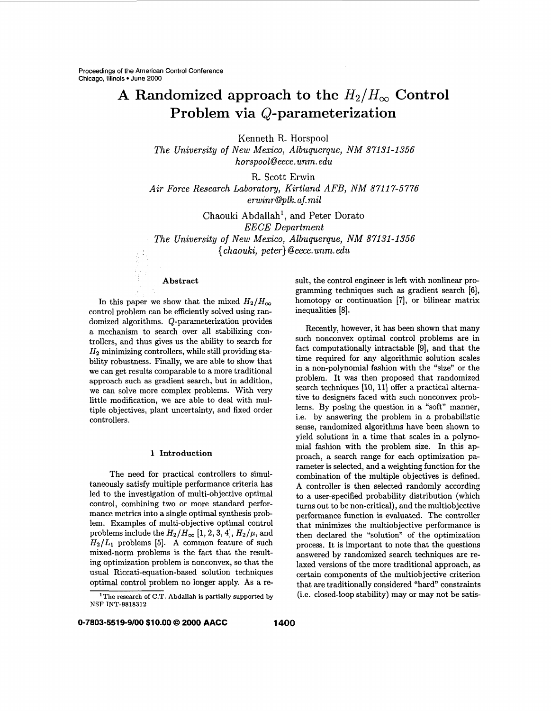## A Randomized approach to the  $H_2/H_{\infty}$  Control **Problem via Q-parameterization**

Kenneth R. Horspool

*The University* of *New Mexico, Albuquerque, NM 87131-1356 horspool@eece. unm. edu* 

R. Scott Erwin *Air Force Research Laboratory, Kirtland AFB, NM 8711 7-5776 erwinr@plk. af.mil* 

Chaouki Abdallah', and Peter Dorato *EECE Department The University of New Mexico, Albuquerque, NM 871 31 -1 356*  { *chaouki, peter} @eece.unm. edu* 

#### **Abstract**

In this paper we show that the mixed  $H_2/H_{\infty}$ control problem can be efficiently solved using randomized algorithms. Q-parameterization provides a mechanism to search over all stabilizing controllers, and thus gives us the ability to search for  $H_2$  minimizing controllers, while still providing stability robustness. Finally, we are able to show that we can get results comparable to a more traditional approach such **as** gradient search, but in addition, we can solve more complex problems. With very little modification, we are able to deal with multiple objectives, plant uncertainty, and fixed order controllers.

#### **1 Introduction**

The need for practical controllers to simultaneously satisfy multiple performance criteria has led to the investigation of multi-objective optimal control, combining two or more standard performance metrics into a single optimal synthesis problem. Examples of multi-objective optimal control problems include the  $H_2/H_\infty$  [1, 2, 3, 4],  $H_2/\mu$ , and  $H_2/L_1$  problems [5]. A common feature of such mixed-norm problems is the fact that the resulting optimization problem is nonconvex, so that the usual Riccati-equation-based solution techniques optimal control problem no longer apply. **As** a re-

sult, the control engineer is left with nonlinear programming techniques such **as** gradient search **[6],**  homotopy or continuation **[7],** or bilinear matrix inequalities [8].

Recently, however, it has been shown that many such nonconvex optimal control problems are in fact computationally intractable **[9],** and that the time required for any algorithmic solution scales in a non-polynomial fashion with the "size" or the problem. It was then proposed that randomized search techniques [10, 11] offer a practical alternative to designers faced with such nonconvex problems. By posing the question in a "soft" manner, i.e. by answering the problem in a probabilistic sense, randomized algorithms have been shown to yield solutions in a time that scales in a polynomial fashion with the problem size. In this approach, a search range for each optimization parameter is selected, and a weighting function for the combination of the multiple objectives is defined. **A** controller is then selected randomly according to a user-specified probability distribution (which turns out to be non-critical), and the multiobjective performance function is evaluated. The controller that minimizes the multiobjective performance is then declared the "solution" of the optimization process. It is important to note that the questions answered by randomized search techniques are relaxed versions of the more traditional approach, **as**  certain components of the multiobjective criterion that are traditionally considered "hard" constraints (i.e. closed-loop stability) may or may not be satis-

**<sup>&#</sup>x27;The research of C.T. Abdallah is partially supported by NSF** INT-9818312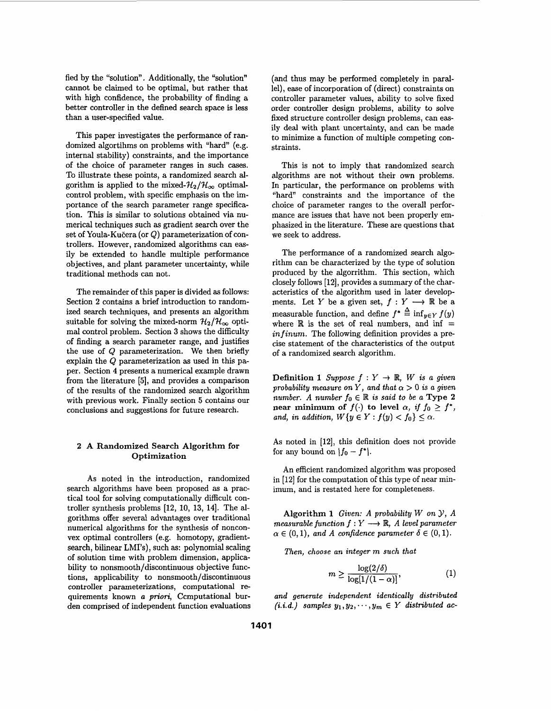fied by the "solution". Additionally, the "solution" cannot be claimed to be optimal, but rather that with high confidence, the probability of finding a better controller in the defined search space is less than a user-specified value.

This paper investigates the performance of randomized algortihms on problems with "hard" (e.g. internal stability) constraints, and the importance of the choice of parameter ranges in such cases. To illustrate these points, a randomized search algorithm is applied to the mixed- $\mathcal{H}_2/\mathcal{H}_{\infty}$  optimalcontrol problem, with specific emphasis on the importance of the search parameter range specification. This is similar to solutions obtained via numerical techniques such **as** gradient search over the set of Youla-Kučera (or  $Q$ ) parameterization of controllers. However, randomized algorithms can easily be extended to handle multiple performance objectives, and plant parameter uncertainty, while traditional methods can not.

The remainder of this paper is divided **as** follows: Section **2** contains a brief introduction to randomized search techniques, and presents an algorithm suitable for solving the mixed-norm  $\mathcal{H}_2/\mathcal{H}_{\infty}$  optimal control problem. Section **3** shows the difficulty of finding a search parameter range, and justifies the use of Q parameterization. We then briefly explain the Q parameterization **as** used in this paper. Section **4** presents a numerical example drawn from the literature *[5],* and provides a comparison of the results of the randomized search algorithm with previous work. Finally section *5* contains our conclusions and suggestions for future research.

#### **2 A** Randomized Search Algorithm **for**  Optimization

As noted in the introduction, randomized search algorithms have been proposed **as** a practical tool for solving computationally difficult controller synthesis problems [12, 10, 13, 14]. The algorithms offer several advantages over traditional numerical algorithms for the synthesis of nonconvex optimal controllers (e.g. homotopy, gradientsearch, bilinear LMI's), such **as:** polynomial scaling of solution time with problem dimension, applicability to nonsmooth/discontinuous objective functions, applicability to nonsmooth/discontinuous controller parameterizations, computational **re**quirements known *a priori,* Ccmputational burden comprised of independent function evaluations

(and thus may be performed completely in parallel), ease of incorporation of (direct) constraints on controller parameter values, ability to solve fixed order controller design problems, ability to solve fixed structure controller design problems, can eas**ily** deal with plant uncertainty, and can be made to minimize a function of multiple competing constraints.

This is not to imply that randomized search algorithms are not without their own problems. In particular, the performance on problems with "hard" constraints and the importance of the choice of parameter ranges to the overall performance are issues that have not been properly emphasized in the literature. These are questions that we seek to address.

The performance of a randomized search algorithm can be characterized by the type of solution produced by the algorrithm. This section, which closely follows **[12],** provides a summary of the characteristics of the algorithm used in later developments. Let *Y* be a given set,  $f: Y \longrightarrow \mathbb{R}$  be a measurable function, and define  $f^* \stackrel{\Delta}{=} \inf_{y \in Y} f(y)$ where  $\mathbb R$  is the set of real numbers, and inf = *in finum.* The following definition provides a precise statement of the characteristics of the output of a randomized search algorithm.

**Definition 1** *Suppose*  $f: Y \to \mathbb{R}$ , *W is a given probability measure on Y, and that*  $\alpha > 0$  *is a given number. A number*  $f_0 \in \mathbb{R}$  *is said to be a* Type 2 near minimum of  $f(\cdot)$  to level  $\alpha$ , *if*  $f_0 \geq f^*$ , *and, in addition,*  $W{y \in Y : f(y) < f_0} \le \alpha$ .

**As** noted in **[12],** this definition does not provide for any bound on  $|f_0 - f^*|$ .

An efficient randomized algorithm was proposed in **[12]** for the computation of this type of near minimum, and is restated here for completeness.

Algorithm **1** *Given: A probability W on Y, A measurable function*  $f: Y \longrightarrow \mathbb{R}$ , *A level parameter*  $\alpha \in (0, 1)$ , and A confidence parameter  $\delta \in (0, 1)$ .

*Then, choose an integer m such that* 

$$
m \ge \frac{\log(2/\delta)}{\log[1/(1-\alpha)]},\tag{1}
$$

*and generate independent identically distributed*   $(i.i.d.)$  samples  $y_1, y_2, \dots, y_m \in Y$  distributed ac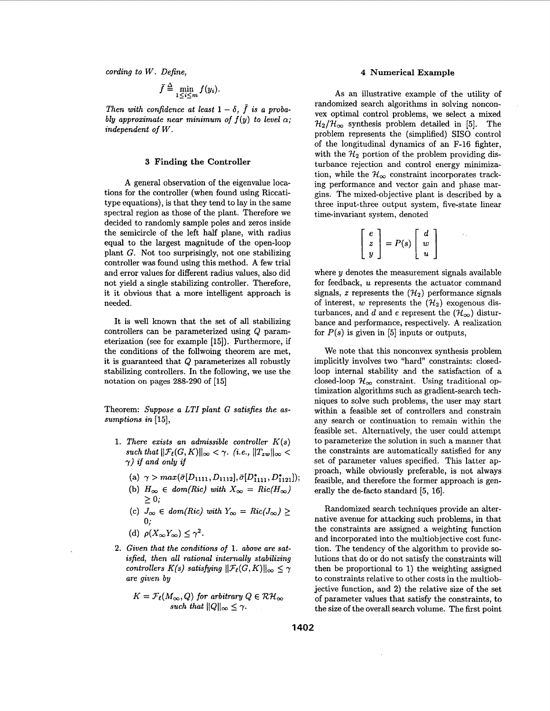*cording to W. Define,* **4 Numerical Example** 

$$
\bar{f} \stackrel{\Delta}{=} \min_{1 \leq i \leq m} f(y_i).
$$

*Then with confidence at least*  $1 - \delta$ ,  $\bar{f}$  *is a probably approximate near minimum of*  $f(y)$  *to level*  $\alpha$ ; *independent of W.* 

#### **3 Finding the Controller**

A general observation of the eigenvalue locations for the controller (when found using Riccatitype equations), is that they tend to lay in the same spectral region **as** those of the plant. Therefore we decided to randomly sample poles and zeros inside the semicircle of the left half plane, with radius equal to the largest magnitude of the open-loop plant G. Not too surprisingly, not one stabilizing controller was found using this method. **A** few trial and error values for different radius values, also did not yield a single stabilizing controller. Therefore, it it obvious that a more intelligent approach is needed.

It is well known that the set of all stabilizing controllers can be parameterized using Q parameterization (see for example [15]). Furthermore, if the conditions of the follwoing theorem are met, it is guaranteed that Q parameterizes all robustly stabilizing controllers. In the following, we use the notation on pages 288-290 of **[15]** 

Theorem: *Suppose a LTI plant G satisfies the assumptions in* [15],

- **1.** *There exists an admissible controller K(s) such that*  $||\mathcal{F}_{\ell}(G,K)||_{\infty} < \gamma$ . *(i.e.,*  $||T_{zw}||_{\infty} <$  $\gamma$ ) *if and only if* 
	- (a)  $\gamma > max(\bar{\sigma}[D_{1111}, D_{1112}], \bar{\sigma}[D_{1111}^*, D_{1121}^*]);$
	- (b)  $H_{\infty} \in dom(Ric)$  with  $X_{\infty} = Ric(H_{\infty})$
	- $\geq 0;$ <br>(c)  $J_{\infty} \in dom(Ric)$  with  $Y_{\infty} = Ric(J_{\infty}) \geq 1$ **0;**
	- (d)  $\rho(X_{\infty}Y_{\infty}) \leq \gamma^2$ .
- **2.** *Given that the conditions* **of 1.** *above are satisfied, then all rational internally stabilizing controllers K(s) satisfying*  $||\mathcal{F}_{\ell}(G,K)||_{\infty} \leq \gamma$ *are given by*

$$
K = \mathcal{F}_\ell(M_\infty, Q) \text{ for arbitrary } Q \in \mathcal{RH}_\infty
$$
  
such that  $||Q||_\infty \leq \gamma$ .

As an illustrative example of the utility of randomized search algorithms in solving nonconvex optimal control problems, we select a mixed  $\mathcal{H}_2/\mathcal{H}_{\infty}$  synthesis problem detailed in [5]. The problem represents the (simplified) SISO control of the longitudinal dynamics of an F-16 fighter, with the  $\mathcal{H}_2$  portion of the problem providing disturbance rejection and control energy minimization, while the  $\mathcal{H}_{\infty}$  constraint incorporates tracking performance and vector gain and phase margins. The mixed-objective plant is described by a three input-three output system, five-state linear time-invariant system, denoted

three output system, five-sta  
nt system, denoted  

$$
\begin{bmatrix} e \\ z \\ y \end{bmatrix} = P(s) \begin{bmatrix} d \\ w \\ u \end{bmatrix}
$$

where **y** denotes the measurement signals available for feedback, *U* represents the actuator command signals, *z* represents the  $(\mathcal{H}_2)$  performance signals of interest, *w* represents the  $(\mathcal{H}_2)$  exogenous disturbances, and d and e represent the  $(\mathcal{H}_{\infty})$  disturbance and performance, respectively. A realization for  $P(s)$  is given in [5] inputs or outputs,

We note that this nonconvex synthesis problem implicitly involves two "hard" constraints: closedloop internal stability and the satisfaction of a closed-loop  $\mathcal{H}_{\infty}$  constraint. Using traditional optimization algorithms such as gradient-search techniques to solve such problems, the user may start within a feasible set of controllers and constrain any search or continuation to remain within the feasible set. Alternatively, the user could attempt to parameterize the solution in such a manner that the constraints are automatically satisfied for any set of parameter values specified. This latter approach, while obviously preferable, is not always feasible, and therefore the former approach is generally the de-facto standard [5, 16].

Randomized search techniques provide an alternative avenue for attacking such problems, in that the constraints are assigned a weighting function and incorporated into the multiobjective cost function. The tendency of the algorithm to provide solutions that do or do not satisfy the constraints will then be proportional to 1) the weighting assigned to constraints relative to other costs in the multiobjective function, and **2)** the relative size of the set of parameter values that satisfy the constraints, to the size of the overall search volume. The first point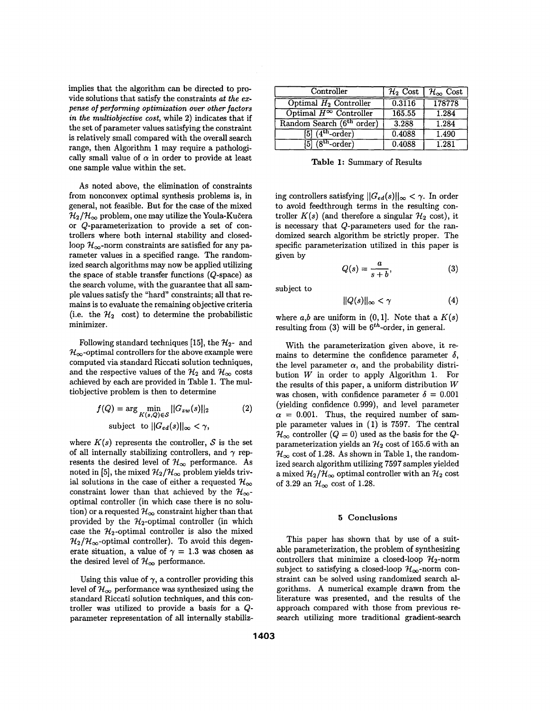implies that the algorithm can be directed to provide solutions that satisfy the constraints *ut the ezpense* **of** *performing optimization over other factors in the multiobjective cost,* while **2)** indicates that if the set of parameter values satisfying the constraint is relatively small compared with the overall search range, then Algorithm **1** may require a pathologically small value of  $\alpha$  in order to provide at least one sample value within the set.

**As** noted above, the elimination of constraints from nonconvex optimal synthesis problems is, in general, not feasible. But for the case of the mixed  $\mathcal{H}_2/\mathcal{H}_{\infty}$  problem, one may utilize the Youla-Kučera or &-parameterization to provide a set of controllers where both internal stability and closedloop  $\mathcal{H}_{\infty}$ -norm constraints are satisfied for any parameter values in a specified range. The randomized search algorithms may now be applied utilizing the space of stable transfer functions (Q-space) **as**  the search volume, with the guarantee that all sample values satisfy the "hard" constraints; all that remains is to evaluate the remaining objective criteria (i.e. the  $\mathcal{H}_2$  cost) to determine the probabilistic minimizer.

Following standard techniques [15], the  $\mathcal{H}_{2}$ - and  $\mathcal{H}_{\infty}$ -optimal controllers for the above example were computed via standard Riccati solution techniques, and the respective values of the  $\mathcal{H}_2$  and  $\mathcal{H}_{\infty}$  costs achieved by each are provided in Table **1.** The multiobjective problem is then to determine

$$
f(Q) = \arg\min_{K(s,Q)\in\mathcal{S}} ||G_{zw}(s)||_2
$$
 (2)  
subject to  $||G_{ed}(s)||_{\infty} < \gamma$ ,

where  $K(s)$  represents the controller,  $S$  is the set of all internally stabilizing controllers, and  $\gamma$  represents the desired level of  $\mathcal{H}_{\infty}$  performance. As noted in [5], the mixed  $\mathcal{H}_2/\mathcal{H}_{\infty}$  problem yields trivial solutions in the case of either a requested  $\mathcal{H}_{\infty}$ constraint lower than that achieved by the  $\mathcal{H}_{\infty}$ optimal controller (in which case there is no solution) or a requested  $\mathcal{H}_{\infty}$  constraint higher than that provided by the  $H_2$ -optimal controller (in which case the  $H_2$ -optimal controller is also the mixed  $\mathcal{H}_2/\mathcal{H}_{\infty}$ -optimal controller). To avoid this degenerate situation, a value of  $\gamma = 1.3$  was chosen as the desired level of  $\mathcal{H}_{\infty}$  performance.

Using this value of  $\gamma$ , a controller providing this level of  $\mathcal{H}_{\infty}$  performance was synthesized using the standard Riccati solution techniques, and this controller was utilized to provide a basis for a Qparameter representation of all internally stabiliz-

| Controller                               | $\overline{\mathcal{H}_2}$ Cost | $\mathcal{H}_{\infty}$ Cost |
|------------------------------------------|---------------------------------|-----------------------------|
| Optimal $H_2$ Controller                 | 0.3116                          | 178778                      |
| Optimal $H^\infty$ Controller            | 165.55                          | 1.284                       |
| Random Search (6 <sup>th</sup> order)    | 3.288                           | 1.284                       |
| $[5]$ $(\overline{4^{th}}\text{-order})$ | 0.4088                          | 1.490                       |
| $[5]$ $(8th-order)$                      | 0.4088                          | 1.281                       |

**Table 1:** Summary of Results

ing controllers satisfying  $||G_{ed}(s)||_{\infty} < \gamma$ . In order to avoid feedthrough terms in the resulting controller  $K(s)$  (and therefore a singular  $\mathcal{H}_2$  cost), it is necessary that Q-parameters used for the randomized search algorithm be strictly proper. The specific parameterization utilized in this paper is given by

$$
Q(s) = \frac{a}{s+b},\tag{3}
$$

subject to

$$
||Q(s)||_{\infty} < \gamma \tag{4}
$$

where  $a,b$  are uniform in  $(0,1]$ . Note that a  $K(s)$ resulting from  $(3)$  will be  $6<sup>th</sup>$ -order, in general.

With the parameterization given above, it remains to determine the confidence parameter  $\delta$ , the level parameter  $\alpha$ , and the probability distribution *W* in order to apply Algorithm **1.** For the results of this paper, a uniform distribution *W*  was chosen, with confidence parameter  $\delta = 0.001$ (yielding confidence **0.999),** and level parameter  $\alpha = 0.001$ . Thus, the required number of sample parameter values in **(1)** is **7597.** The central  $\mathcal{H}_{\infty}$  controller  $(Q = 0)$  used as the basis for the Qparameterization yields an 312 cost of **165.6** with an  $\mathcal{H}_{\infty}$  cost of 1.28. As shown in Table 1, the randomized search algorithm utilizing **7597** samples yielded a mixed  $\mathcal{H}_2/\mathcal{H}_{\infty}$  optimal controller with an  $\mathcal{H}_2$  cost of 3.29 an  $\mathcal{H}_{\infty}$  cost of 1.28.

#### **5 Conclusions**

This paper has shown that by use of a suitable parameterization, the problem of synthesizing controllers that minimize a closed-loop  $\mathcal{H}_2$ -norm subject to satisfying a closed-loop  $\mathcal{H}_{\infty}$ -norm constraint can be solved using randomized search algorithms. **A** numerical example drawn from the literature was presented, and the results of the approach compared with those from previous research utilizing more traditional gradient-search